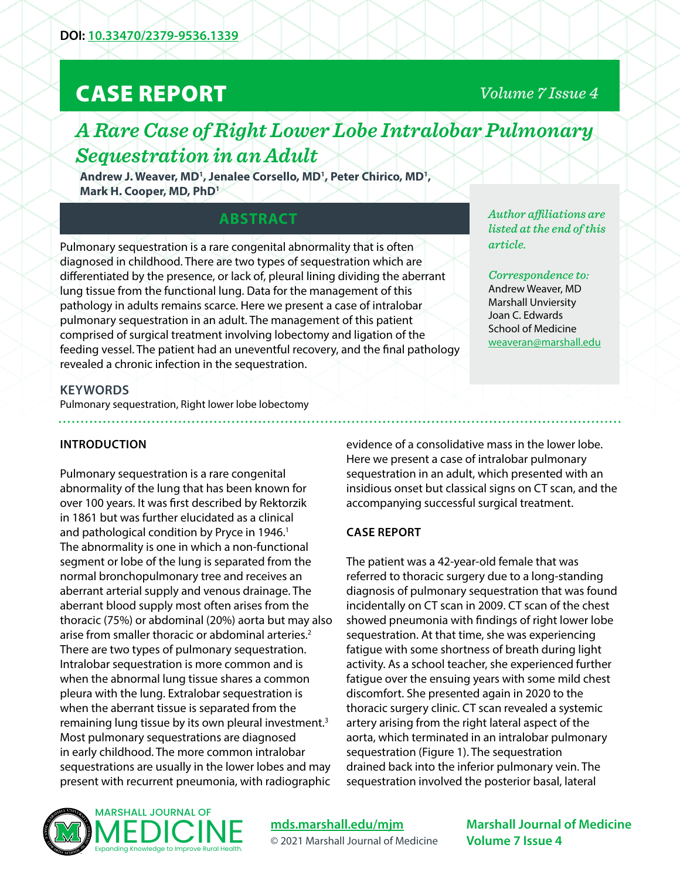# CASE REPORT

## *Volume 7 Issue 4*

## *A Rare Case of Right Lower Lobe Intralobar Pulmonary Sequestration in an Adult*

Andrew J. Weaver, MD<sup>1</sup>, Jenalee Corsello, MD<sup>1</sup>, Peter Chirico, MD<sup>1</sup>, **Mark H. Cooper, MD, PhD1**

## **ABSTRACT**

Pulmonary sequestration is a rare congenital abnormality that is often diagnosed in childhood. There are two types of sequestration which are differentiated by the presence, or lack of, pleural lining dividing the aberrant lung tissue from the functional lung. Data for the management of this pathology in adults remains scarce. Here we present a case of intralobar pulmonary sequestration in an adult. The management of this patient comprised of surgical treatment involving lobectomy and ligation of the feeding vessel. The patient had an uneventful recovery, and the final pathology revealed a chronic infection in the sequestration.

*Author affiliations are listed at the end of this article.* 

*Correspondence to:*  Andrew Weaver, MD Marshall Unviersity Joan C. Edwards School of Medicine [weaveran@marshall.edu](mailto:weaveran%40marshall.edu?subject=)

#### **KEYWORDS**

Pulmonary sequestration, Right lower lobe lobectomy

#### **INTRODUCTION**

Pulmonary sequestration is a rare congenital abnormality of the lung that has been known for over 100 years. It was first described by Rektorzik in 1861 but was further elucidated as a clinical and pathological condition by Pryce in 1946.<sup>1</sup> The abnormality is one in which a non-functional segment or lobe of the lung is separated from the normal bronchopulmonary tree and receives an aberrant arterial supply and venous drainage. The aberrant blood supply most often arises from the thoracic (75%) or abdominal (20%) aorta but may also arise from smaller thoracic or abdominal arteries.<sup>2</sup> There are two types of pulmonary sequestration. Intralobar sequestration is more common and is when the abnormal lung tissue shares a common pleura with the lung. Extralobar sequestration is when the aberrant tissue is separated from the remaining lung tissue by its own pleural investment.<sup>3</sup> Most pulmonary sequestrations are diagnosed in early childhood. The more common intralobar sequestrations are usually in the lower lobes and may present with recurrent pneumonia, with radiographic

MARSHALL JOURNAL OF

Expanding Knowledge to Improve Rural Health.

evidence of a consolidative mass in the lower lobe. Here we present a case of intralobar pulmonary sequestration in an adult, which presented with an insidious onset but classical signs on CT scan, and the accompanying successful surgical treatment.

#### **CASE REPORT**

The patient was a 42-year-old female that was referred to thoracic surgery due to a long-standing diagnosis of pulmonary sequestration that was found incidentally on CT scan in 2009. CT scan of the chest showed pneumonia with findings of right lower lobe sequestration. At that time, she was experiencing fatigue with some shortness of breath during light activity. As a school teacher, she experienced further fatigue over the ensuing years with some mild chest discomfort. She presented again in 2020 to the thoracic surgery clinic. CT scan revealed a systemic artery arising from the right lateral aspect of the aorta, which terminated in an intralobar pulmonary sequestration (Figure 1). The sequestration drained back into the inferior pulmonary vein. The sequestration involved the posterior basal, lateral



#### **[mds.marshall.edu/mjm](https://mds.marshall.edu/mjm/)** © 2021 Marshall Journal of Medicine

**Marshall Journal of Medicine Volume 7 Issue 4**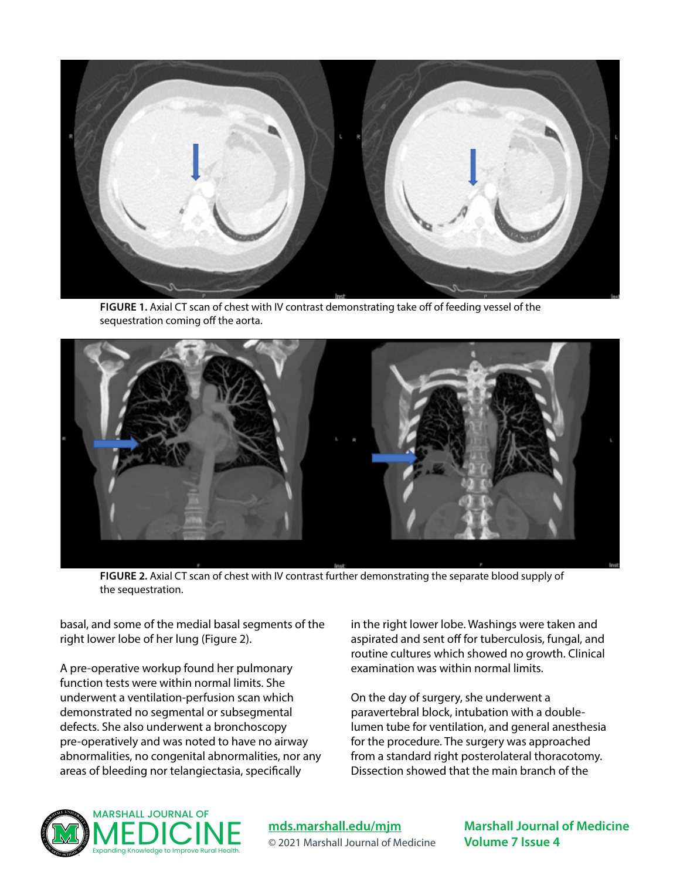

**FIGURE 1.** Axial CT scan of chest with IV contrast demonstrating take off of feeding vessel of the sequestration coming off the aorta.



**FIGURE 2.** Axial CT scan of chest with IV contrast further demonstrating the separate blood supply of the sequestration.

basal, and some of the medial basal segments of the right lower lobe of her lung (Figure 2).

A pre-operative workup found her pulmonary function tests were within normal limits. She underwent a ventilation-perfusion scan which demonstrated no segmental or subsegmental defects. She also underwent a bronchoscopy pre-operatively and was noted to have no airway abnormalities, no congenital abnormalities, nor any areas of bleeding nor telangiectasia, specifically

in the right lower lobe. Washings were taken and aspirated and sent off for tuberculosis, fungal, and routine cultures which showed no growth. Clinical examination was within normal limits.

On the day of surgery, she underwent a paravertebral block, intubation with a doublelumen tube for ventilation, and general anesthesia for the procedure. The surgery was approached from a standard right posterolateral thoracotomy. Dissection showed that the main branch of the



**[mds.marshall.edu/mjm](https://mds.marshall.edu/mjm/)** © 2021 Marshall Journal of Medicine **Marshall Journal of Medicine Volume 7 Issue 4**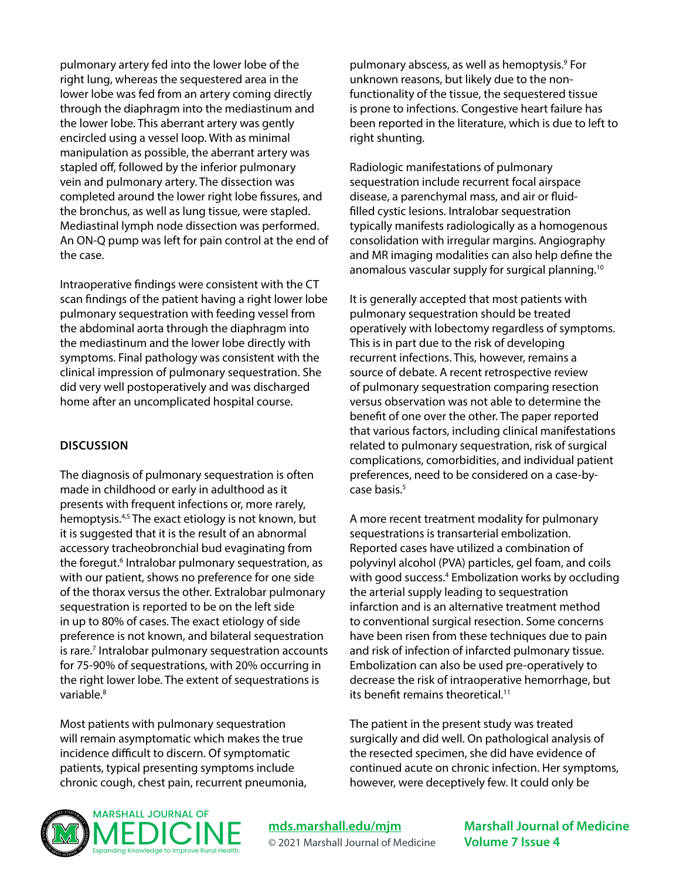pulmonary artery fed into the lower lobe of the right lung, whereas the sequestered area in the lower lobe was fed from an artery coming directly through the diaphragm into the mediastinum and the lower lobe. This aberrant artery was gently encircled using a vessel loop. With as minimal manipulation as possible, the aberrant artery was stapled off, followed by the inferior pulmonary vein and pulmonary artery. The dissection was completed around the lower right lobe fissures, and the bronchus, as well as lung tissue, were stapled. Mediastinal lymph node dissection was performed. An ON-Q pump was left for pain control at the end of the case.

Intraoperative findings were consistent with the CT scan findings of the patient having a right lower lobe pulmonary sequestration with feeding vessel from the abdominal aorta through the diaphragm into the mediastinum and the lower lobe directly with symptoms. Final pathology was consistent with the clinical impression of pulmonary sequestration. She did very well postoperatively and was discharged home after an uncomplicated hospital course.

#### **DISCUSSION**

The diagnosis of pulmonary sequestration is often made in childhood or early in adulthood as it presents with frequent infections or, more rarely, hemoptysis.<sup>4,5</sup> The exact etiology is not known, but it is suggested that it is the result of an abnormal accessory tracheobronchial bud evaginating from the foregut.<sup>6</sup> Intralobar pulmonary sequestration, as with our patient, shows no preference for one side of the thorax versus the other. Extralobar pulmonary sequestration is reported to be on the left side in up to 80% of cases. The exact etiology of side preference is not known, and bilateral sequestration is rare.<sup>7</sup> Intralobar pulmonary sequestration accounts for 75-90% of sequestrations, with 20% occurring in the right lower lobe. The extent of sequestrations is variable.8

Most patients with pulmonary sequestration will remain asymptomatic which makes the true incidence difficult to discern. Of symptomatic patients, typical presenting symptoms include chronic cough, chest pain, recurrent pneumonia,

pulmonary abscess, as well as hemoptysis.<sup>9</sup> For unknown reasons, but likely due to the nonfunctionality of the tissue, the sequestered tissue is prone to infections. Congestive heart failure has been reported in the literature, which is due to left to right shunting.

Radiologic manifestations of pulmonary sequestration include recurrent focal airspace disease, a parenchymal mass, and air or fluidfilled cystic lesions. Intralobar sequestration typically manifests radiologically as a homogenous consolidation with irregular margins. Angiography and MR imaging modalities can also help define the anomalous vascular supply for surgical planning.10

It is generally accepted that most patients with pulmonary sequestration should be treated operatively with lobectomy regardless of symptoms. This is in part due to the risk of developing recurrent infections. This, however, remains a source of debate. A recent retrospective review of pulmonary sequestration comparing resection versus observation was not able to determine the benefit of one over the other. The paper reported that various factors, including clinical manifestations related to pulmonary sequestration, risk of surgical complications, comorbidities, and individual patient preferences, need to be considered on a case-bycase basis.<sup>5</sup>

A more recent treatment modality for pulmonary sequestrations is transarterial embolization. Reported cases have utilized a combination of polyvinyl alcohol (PVA) particles, gel foam, and coils with good success.<sup>4</sup> Embolization works by occluding the arterial supply leading to sequestration infarction and is an alternative treatment method to conventional surgical resection. Some concerns have been risen from these techniques due to pain and risk of infection of infarcted pulmonary tissue. Embolization can also be used pre-operatively to decrease the risk of intraoperative hemorrhage, but its benefit remains theoretical.11

The patient in the present study was treated surgically and did well. On pathological analysis of the resected specimen, she did have evidence of continued acute on chronic infection. Her symptoms, however, were deceptively few. It could only be



**[mds.marshall.edu/mjm](https://mds.marshall.edu/mjm/)** © 2021 Marshall Journal of Medicine **Marshall Journal of Medicine Volume 7 Issue 4**